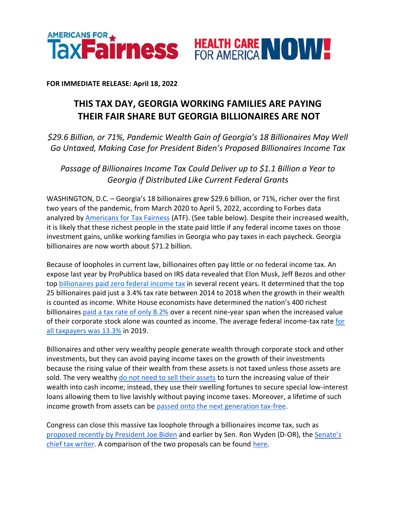

**FOR IMMEDIATE RELEASE: April 18, 2022**

## **THIS TAX DAY, GEORGIA WORKING FAMILIES ARE PAYING THEIR FAIR SHARE BUT GEORGIA BILLIONAIRES ARE NOT**

*\$29.6 Billion, or 71%, Pandemic Wealth Gain of Georgia's 18 Billionaires May Well Go Untaxed, Making Case for President Biden's Proposed Billionaires Income Tax*

*Passage of Billionaires Income Tax Could Deliver up to \$1.1 Billion a Year to Georgia if Distributed Like Current Federal Grants*

WASHINGTON, D.C. – Georgia's 18 billionaires grew \$29.6 billion, or 71%, richer over the first two years of the pandemic, from March 2020 to April 5, 2022, according to Forbes data analyzed by [Americans for Tax Fairness](https://americansfortaxfairness.org/) (ATF). (See table below). Despite their increased wealth, it is likely that these richest people in the state paid little if any federal income taxes on those investment gains, unlike working families in Georgia who pay taxes in each paycheck. Georgia billionaires are now worth about \$71.2 billion.

Because of loopholes in current law, billionaires often pay little or no federal income tax. An expose last year by ProPublica based on IRS data revealed that Elon Musk, Jeff Bezos and other to[p](https://americansfortaxfairness.org/wp-content/uploads/ProPublica-Billionaires-Fact-Sheet-Updated.pdf) [billionaires paid zero federal income tax](https://americansfortaxfairness.org/wp-content/uploads/ProPublica-Billionaires-Fact-Sheet-Updated.pdf) in several recent years. It determined that the top 25 billionaires paid just a 3.4% tax rate between 2014 to 2018 when the growth in their wealth is counted as income. White House economists have determined the nation's 400 richest billionaire[s](https://www.whitehouse.gov/cea/written-materials/2021/09/23/what-is-the-average-federal-individual-income-tax-rate-on-the-wealthiest-americans/) [paid a tax rate of only 8.2%](https://www.whitehouse.gov/cea/written-materials/2021/09/23/what-is-the-average-federal-individual-income-tax-rate-on-the-wealthiest-americans/) over a recent nine-year span when the increased value of th[e](https://taxfoundation.org/summary-latest-federal-income-tax-data-2022-update/)ir corporate stock alone was counted as income. The average federal income-tax rate for [all taxpayers was 13.3%](https://taxfoundation.org/summary-latest-federal-income-tax-data-2022-update/) in 2019.

Billionaires and other very wealthy people generate wealth through corporate stock and other investments, but they can avoid paying income taxes on the growth of their investments because the rising value of their wealth from these assets is not taxed unless those assets are sold. The ver[y](https://www.wsj.com/articles/buy-borrow-die-how-rich-americans-live-off-their-paper-wealth-11625909583) wealthy [do not need to sell their assets](https://www.wsj.com/articles/buy-borrow-die-how-rich-americans-live-off-their-paper-wealth-11625909583) to turn the increasing value of their wealth into cash income; instead, they use their swelling fortunes to secure special low-interest loans allowing them to live lavishly without paying income taxes. Moreover, a lifetime of such income growth from assets can b[e](https://americansfortaxfairness.org/issue/stop-protecting-billionaires-close-stepped-basis-loophole/) [passed onto the next generation tax-free.](https://americansfortaxfairness.org/issue/stop-protecting-billionaires-close-stepped-basis-loophole/)

Congress can close this massive tax loophole through a billionaires income tax, such as [proposed recently by President Joe Biden](https://www.whitehouse.gov/omb/briefing-room/2022/03/28/presidents-budget-rewards-work-not-wealth-with-new-billionaire-minimum-income-tax/) and earlier by Sen. Ron Wyden (D-OR), th[e](https://www.finance.senate.gov/chairmans-news/wyden-unveils-billionaires-income-tax) [Senate's](https://www.finance.senate.gov/chairmans-news/wyden-unveils-billionaires-income-tax)  [chief tax writer.](https://www.finance.senate.gov/chairmans-news/wyden-unveils-billionaires-income-tax) A comparison of the two proposals can be foun[d](https://docs.google.com/document/d/1VdQTBEMGB2dHRGIt823stOBmIdul86-N7fYAQWxp-wU/edit?usp=sharing) [here.](https://americansfortaxfairness.org/issue/comparison-biden-wyden-billionaires-income-tax-proposals-short/)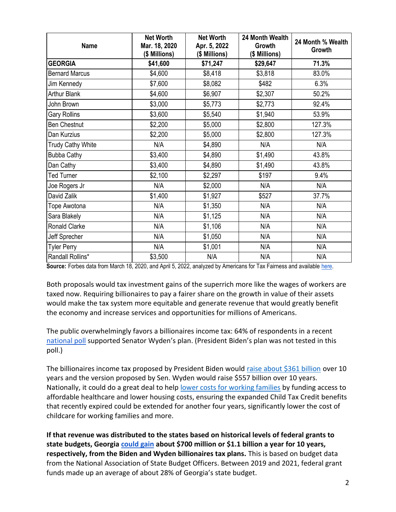| <b>Name</b>              | <b>Net Worth</b><br>Mar. 18, 2020<br>(\$ Millions) | <b>Net Worth</b><br>Apr. 5, 2022<br>(\$ Millions) | 24 Month Wealth<br>Growth<br>(\$ Millions) | 24 Month % Wealth<br>Growth |
|--------------------------|----------------------------------------------------|---------------------------------------------------|--------------------------------------------|-----------------------------|
| <b>GEORGIA</b>           | \$41,600                                           | \$71,247                                          | \$29,647                                   | 71.3%                       |
| <b>Bernard Marcus</b>    | \$4,600                                            | \$8,418                                           | \$3,818                                    | 83.0%                       |
| Jim Kennedy              | \$7,600                                            | \$8,082                                           | \$482                                      | 6.3%                        |
| <b>Arthur Blank</b>      | \$4,600                                            | \$6,907                                           | \$2,307                                    | 50.2%                       |
| John Brown               | \$3,000                                            | \$5,773                                           | \$2,773                                    | 92.4%                       |
| <b>Gary Rollins</b>      | \$3,600                                            | \$5,540                                           | \$1,940                                    | 53.9%                       |
| <b>Ben Chestnut</b>      | \$2,200                                            | \$5,000                                           | \$2,800                                    | 127.3%                      |
| Dan Kurzius              | \$2,200                                            | \$5,000                                           | \$2,800                                    | 127.3%                      |
| <b>Trudy Cathy White</b> | N/A                                                | \$4,890                                           | N/A                                        | N/A                         |
| <b>Bubba Cathy</b>       | \$3,400                                            | \$4,890                                           | \$1,490                                    | 43.8%                       |
| Dan Cathy                | \$3,400                                            | \$4,890                                           | \$1,490                                    | 43.8%                       |
| <b>Ted Turner</b>        | \$2,100                                            | \$2,297                                           | \$197                                      | 9.4%                        |
| Joe Rogers Jr            | N/A                                                | \$2,000                                           | N/A                                        | N/A                         |
| David Zalik              | \$1,400                                            | \$1,927                                           | \$527                                      | 37.7%                       |
| Tope Awotona             | N/A                                                | \$1,350                                           | N/A                                        | N/A                         |
| Sara Blakely             | N/A                                                | \$1,125                                           | N/A                                        | N/A                         |
| Ronald Clarke            | N/A                                                | \$1,106                                           | N/A                                        | N/A                         |
| Jeff Sprecher            | N/A                                                | \$1,050                                           | N/A                                        | N/A                         |
| <b>Tyler Perry</b>       | N/A                                                | \$1,001                                           | N/A                                        | N/A                         |
| Randall Rollins*         | \$3,500                                            | N/A                                               | N/A                                        | N/A                         |

**Source:** Forbes data from March 18, 2020, and April 5, 2022, analyzed by Americans for Tax Fairness and available [here.](https://docs.google.com/spreadsheets/d/1MksOhwmIojtZihAmPcfcYeaGoG3FOFZmiKUza1dIRD4/edit?usp=sharing)

Both proposals would tax investment gains of the superrich more like the wages of workers are taxed now. Requiring billionaires to pay a fairer share on the growth in value of their assets would make the tax system more equitable and generate revenue that would greatly benefit the economy and increase services and opportunities for millions of Americans.

The public overwhelmingly favors a billionaires income tax: 64% of respondents in a recen[t](https://docs.google.com/document/d/1AhWvucOLV2qY6izLkZvHpPig6DDmdFaCbmeM-5E65Xw/edit) [national poll](https://docs.google.com/document/d/1AhWvucOLV2qY6izLkZvHpPig6DDmdFaCbmeM-5E65Xw/edit) supported Senator Wyden's plan. (President Biden's plan was not tested in this poll.)

The billionaires income tax proposed by President Biden would [raise about \\$361 billion](https://americansfortaxfairness.org/issue/comparison-biden-wyden-billionaires-income-tax-proposals-short/) over 10 years and the version proposed by Sen. Wyden would raise \$557 billion over 10 years. Nationally, it could do a great deal to hel[p](https://americansfortaxfairness.org/issue/6-ways-spend-revenue-billionaires-income-tax/) [lower costs for working families](https://americansfortaxfairness.org/issue/6-ways-spend-revenue-billionaires-income-tax/) by funding access to affordable healthcare and lower housing costs, ensuring the expanded Child Tax Credit benefits that recently expired could be extended for another four years, significantly lower the cost of childcare for working families and more.

**If that revenue was distributed to the states based on historical levels of federal grants to state budgets, Georgia [could gain](https://docs.google.com/spreadsheets/d/1uMGQ0_Ow8ssIrktfYIvIQZwB44zOHf82ILpvh5kzWUI/edit?usp=sharing) about \$700 million or \$1.1 billion a year for 10 years, respectively, from the Biden and Wyden billionaires tax plans.** This is based on budget data from the National Association of State Budget Officers. Between 2019 and 2021, federal grant funds made up an average of about 28% of Georgia's state budget.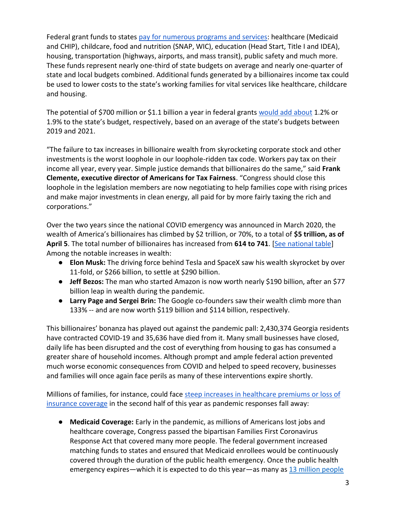Federal grant funds to states [pay for numerous programs and services:](https://www.cbpp.org/research/state-budget-and-tax/federal-aid-to-state-and-local-governments) healthcare (Medicaid and CHIP), childcare, food and nutrition (SNAP, WIC), education (Head Start, Title I and IDEA), housing, transportation (highways, airports, and mass transit), public safety and much more. These funds represent nearly one-third of state budgets on average and nearly one-quarter of state and local budgets combined. Additional funds generated by a billionaires income tax could be used to lower costs to the state's working families for vital services like healthcare, childcare and housing.

The potential of \$700 million or \$1.1 billion a year in federal grant[s](https://docs.google.com/spreadsheets/d/1uMGQ0_Ow8ssIrktfYIvIQZwB44zOHf82ILpvh5kzWUI/edit?usp=sharing) [would add about](https://docs.google.com/spreadsheets/d/1uMGQ0_Ow8ssIrktfYIvIQZwB44zOHf82ILpvh5kzWUI/edit?usp=sharing) 1.2% or 1.9% to the state's budget, respectively, based on an average of the state's budgets between 2019 and 2021.

"The failure to tax increases in billionaire wealth from skyrocketing corporate stock and other investments is the worst loophole in our loophole-ridden tax code. Workers pay tax on their income all year, every year. Simple justice demands that billionaires do the same," said **Frank Clemente, executive director of Americans for Tax Fairness**. "Congress should close this loophole in the legislation members are now negotiating to help families cope with rising prices and make major investments in clean energy, all paid for by more fairly taxing the rich and corporations."

Over the two years since the national COVID emergency was announced in March 2020, the wealth of America's billionaires has climbed by \$2 trillion, or 70%, to a total of **\$5 trillion, as of April 5**. The total number of billionaires has increased from **614 to 741**. [\[See national table\]](https://docs.google.com/spreadsheets/d/1MksOhwmIojtZihAmPcfcYeaGoG3FOFZmiKUza1dIRD4/edit?usp=sharing) Among the notable increases in wealth:

- **Elon Musk:** The driving force behind Tesla and SpaceX saw his wealth skyrocket by over 11-fold, or \$266 billion, to settle at \$290 billion.
- **Jeff Bezos:** The man who started Amazon is now worth nearly \$190 billion, after an \$77 billion leap in wealth during the pandemic.
- **Larry Page and Sergei Brin:** The Google co-founders saw their wealth climb more than 133% -- and are now worth \$119 billion and \$114 billion, respectively.

This billionaires' bonanza has played out against the pandemic pall: 2,430,374 Georgia residents have contracted COVID-19 and 35,636 have died from it. Many small businesses have closed, daily life has been disrupted and the cost of everything from housing to gas has consumed a greater share of household incomes. Although prompt and ample federal action prevented much worse economic consequences from COVID and helped to speed recovery, businesses and families will once again face perils as many of these interventions expire shortly.

Millions of families, for instance, could face steep increases in healthcare premiums or loss of [insurance coverage](https://www.nytimes.com/2022/04/04/opinion/covid-medicaid-loss.html) in the second half of this year as pandemic responses fall away:

● **Medicaid Coverage:** Early in the pandemic, as millions of Americans lost jobs and healthcare coverage, Congress passed the bipartisan Families First Coronavirus Response Act that covered many more people. The federal government increased matching funds to states and ensured that Medicaid enrollees would be continuously covered through the duration of the public health emergency. Once the public health emergency expires—which it is expected to do this year—as many a[s](https://www.urban.org/sites/default/files/2022-03/what-will-happen-to-medicaid-enrollees-health-coverage-after-the-public-health-emergency_1_1.pdf) [13 million people](https://www.urban.org/sites/default/files/2022-03/what-will-happen-to-medicaid-enrollees-health-coverage-after-the-public-health-emergency_1_1.pdf)